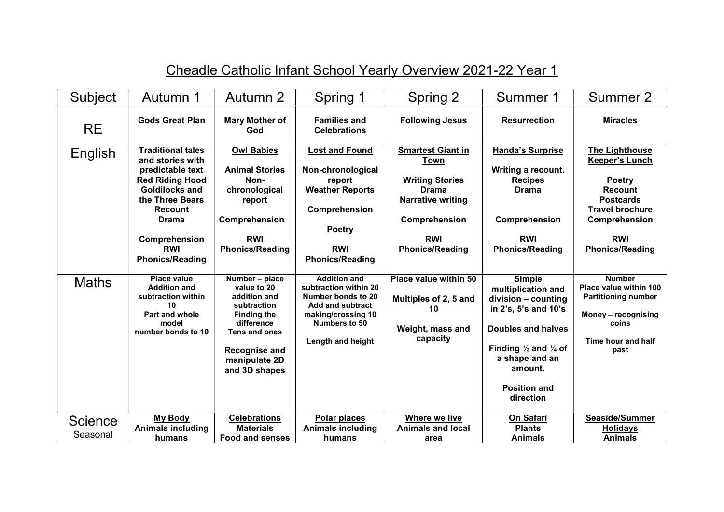| Subject                    | Autumn 1                                                                                                                                                                                                                   | Autumn 2                                                                                                                                                                    | Spring 1                                                                                                                                                  | Spring 2                                                                                                                                                               | Summer 1                                                                                                                                                                                                                       | Summer 2                                                                                                                                                                                 |
|----------------------------|----------------------------------------------------------------------------------------------------------------------------------------------------------------------------------------------------------------------------|-----------------------------------------------------------------------------------------------------------------------------------------------------------------------------|-----------------------------------------------------------------------------------------------------------------------------------------------------------|------------------------------------------------------------------------------------------------------------------------------------------------------------------------|--------------------------------------------------------------------------------------------------------------------------------------------------------------------------------------------------------------------------------|------------------------------------------------------------------------------------------------------------------------------------------------------------------------------------------|
| <b>RE</b>                  | <b>Gods Great Plan</b>                                                                                                                                                                                                     | Mary Mother of<br>God                                                                                                                                                       | <b>Families and</b><br><b>Celebrations</b>                                                                                                                | <b>Following Jesus</b>                                                                                                                                                 | <b>Resurrection</b>                                                                                                                                                                                                            | <b>Miracles</b>                                                                                                                                                                          |
| English                    | <b>Traditional tales</b><br>and stories with<br>predictable text<br><b>Red Riding Hood</b><br>Goldilocks and<br>the Three Bears<br><b>Recount</b><br><b>Drama</b><br>Comprehension<br><b>RWI</b><br><b>Phonics/Reading</b> | <b>Owl Babies</b><br><b>Animal Stories</b><br>Non-<br>chronological<br>report<br>Comprehension<br><b>RWI</b><br><b>Phonics/Reading</b>                                      | <b>Lost and Found</b><br>Non-chronological<br>report<br><b>Weather Reports</b><br>Comprehension<br><b>Poetry</b><br><b>RWI</b><br><b>Phonics/Reading</b>  | <b>Smartest Giant in</b><br><b>Town</b><br><b>Writing Stories</b><br><b>Drama</b><br><b>Narrative writing</b><br>Comprehension<br><b>RWI</b><br><b>Phonics/Reading</b> | <b>Handa's Surprise</b><br>Writing a recount.<br><b>Recipes</b><br><b>Drama</b><br>Comprehension<br><b>RWI</b><br><b>Phonics/Reading</b>                                                                                       | <b>The Lighthouse</b><br><b>Keeper's Lunch</b><br><b>Poetry</b><br><b>Recount</b><br><b>Postcards</b><br><b>Travel brochure</b><br>Comprehension<br><b>RWI</b><br><b>Phonics/Reading</b> |
| <b>Maths</b>               | Place value<br><b>Addition and</b><br>subtraction within<br>10<br>Part and whole<br>model<br>number bonds to 10                                                                                                            | Number - place<br>value to 20<br>addition and<br>subtraction<br><b>Finding the</b><br>difference<br>Tens and ones<br><b>Recognise and</b><br>manipulate 2D<br>and 3D shapes | <b>Addition and</b><br>subtraction within 20<br>Number bonds to 20<br><b>Add and subtract</b><br>making/crossing 10<br>Numbers to 50<br>Length and height | Place value within 50<br>Multiples of 2, 5 and<br>10<br>Weight, mass and<br>capacity                                                                                   | <b>Simple</b><br>multiplication and<br>division - counting<br>in 2's, 5's and 10's<br><b>Doubles and halves</b><br>Finding $\frac{1}{2}$ and $\frac{1}{4}$ of<br>a shape and an<br>amount.<br><b>Position and</b><br>direction | <b>Number</b><br>Place value within 100<br><b>Partitioning number</b><br>Money - recognising<br>coins<br>Time hour and half<br>past                                                      |
| <b>Science</b><br>Seasonal | <b>My Body</b><br><b>Animals including</b><br>humans                                                                                                                                                                       | <b>Celebrations</b><br><b>Materials</b><br><b>Food and senses</b>                                                                                                           | Polar places<br><b>Animals including</b><br>humans                                                                                                        | <b>Where we live</b><br><b>Animals and local</b><br>area                                                                                                               | On Safari<br><b>Plants</b><br><b>Animals</b>                                                                                                                                                                                   | Seaside/Summer<br><b>Holidays</b><br><b>Animals</b>                                                                                                                                      |

## Cheadle Catholic Infant School Yearly Overview 2021-22 Year 1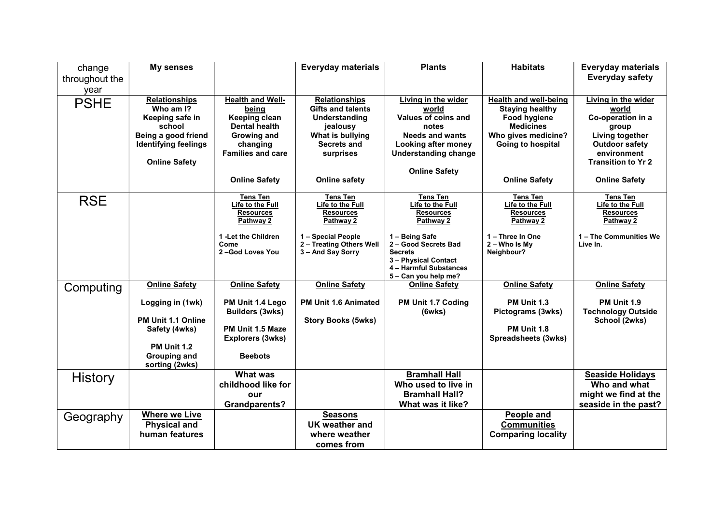| change         | My senses                                          |                               | <b>Everyday materials</b>                     | <b>Plants</b>                                 | <b>Habitats</b>                          | <b>Everyday materials</b>                |
|----------------|----------------------------------------------------|-------------------------------|-----------------------------------------------|-----------------------------------------------|------------------------------------------|------------------------------------------|
| throughout the |                                                    |                               |                                               |                                               |                                          | <b>Everyday safety</b>                   |
| year           |                                                    |                               |                                               |                                               |                                          |                                          |
| <b>PSHE</b>    | <b>Relationships</b>                               | <b>Health and Well-</b>       | <b>Relationships</b>                          | Living in the wider                           | <b>Health and well-being</b>             | Living in the wider                      |
|                | Who am I?                                          | being                         | <b>Gifts and talents</b>                      | world                                         | <b>Staying healthy</b>                   | world                                    |
|                | Keeping safe in                                    | Keeping clean                 | Understanding                                 | Values of coins and                           | <b>Food hygiene</b>                      | Co-operation in a                        |
|                | school                                             | <b>Dental health</b>          | jealousy                                      | notes                                         | <b>Medicines</b>                         | group                                    |
|                | Being a good friend<br><b>Identifying feelings</b> | Growing and<br>changing       | What is bullying<br>Secrets and               | <b>Needs and wants</b><br>Looking after money | Who gives medicine?<br>Going to hospital | Living together<br><b>Outdoor safety</b> |
|                |                                                    | <b>Families and care</b>      | surprises                                     | <b>Understanding change</b>                   |                                          | environment                              |
|                | <b>Online Safety</b>                               |                               |                                               |                                               |                                          | <b>Transition to Yr 2</b>                |
|                |                                                    |                               |                                               | <b>Online Safety</b>                          |                                          |                                          |
|                |                                                    | <b>Online Safety</b>          | <b>Online safety</b>                          |                                               | <b>Online Safety</b>                     | <b>Online Safety</b>                     |
| <b>RSE</b>     |                                                    | Tens Ten                      | Tens Ten                                      | Tens Ten                                      | <b>Tens Ten</b>                          | <b>Tens Ten</b>                          |
|                |                                                    | Life to the Full              | Life to the Full                              | Life to the Full                              | Life to the Full                         | Life to the Full                         |
|                |                                                    | <b>Resources</b><br>Pathway 2 | <b>Resources</b><br>Pathway 2                 | <b>Resources</b><br>Pathway 2                 | <b>Resources</b><br>Pathway 2            | <b>Resources</b><br>Pathway 2            |
|                |                                                    |                               |                                               |                                               |                                          |                                          |
|                |                                                    | 1 -Let the Children           | 1 - Special People                            | 1 - Being Safe                                | 1 - Three In One                         | 1 - The Communities We                   |
|                |                                                    | Come<br>2-God Loves You       | 2 - Treating Others Well<br>3 - And Say Sorry | 2 - Good Secrets Bad<br><b>Secrets</b>        | $2 -$ Who Is My<br>Neighbour?            | Live In.                                 |
|                |                                                    |                               |                                               | 3 - Physical Contact                          |                                          |                                          |
|                |                                                    |                               |                                               | 4 - Harmful Substances                        |                                          |                                          |
|                |                                                    |                               |                                               | 5 - Can you help me?                          |                                          |                                          |
| Computing      | <b>Online Safety</b>                               | <b>Online Safety</b>          | <b>Online Safety</b>                          | <b>Online Safety</b>                          | <b>Online Safety</b>                     | <b>Online Safety</b>                     |
|                | Logging in (1wk)                                   | PM Unit 1.4 Lego              | <b>PM Unit 1.6 Animated</b>                   | PM Unit 1.7 Coding                            | PM Unit 1.3                              | <b>PM Unit 1.9</b>                       |
|                |                                                    | <b>Builders (3wks)</b>        |                                               | (6wks)                                        | Pictograms (3wks)                        | <b>Technology Outside</b>                |
|                | PM Unit 1.1 Online                                 |                               | <b>Story Books (5wks)</b>                     |                                               |                                          | School (2wks)                            |
|                | Safety (4wks)                                      | PM Unit 1.5 Maze              |                                               |                                               | <b>PM Unit 1.8</b>                       |                                          |
|                |                                                    | <b>Explorers (3wks)</b>       |                                               |                                               | Spreadsheets (3wks)                      |                                          |
|                | <b>PM Unit 1.2</b>                                 | <b>Beebots</b>                |                                               |                                               |                                          |                                          |
|                | <b>Grouping and</b><br>sorting (2wks)              |                               |                                               |                                               |                                          |                                          |
| <b>History</b> |                                                    | <b>What was</b>               |                                               | <b>Bramhall Hall</b>                          |                                          | <b>Seaside Holidays</b>                  |
|                |                                                    | childhood like for            |                                               | Who used to live in                           |                                          | Who and what                             |
|                |                                                    | our                           |                                               | <b>Bramhall Hall?</b>                         |                                          | might we find at the                     |
|                |                                                    | <b>Grandparents?</b>          |                                               | What was it like?                             |                                          | seaside in the past?                     |
| Geography      | <b>Where we Live</b>                               |                               | <b>Seasons</b>                                |                                               | People and                               |                                          |
|                | <b>Physical and</b>                                |                               | UK weather and                                |                                               | <b>Communities</b>                       |                                          |
|                | human features                                     |                               | where weather                                 |                                               | <b>Comparing locality</b>                |                                          |
|                |                                                    |                               | comes from                                    |                                               |                                          |                                          |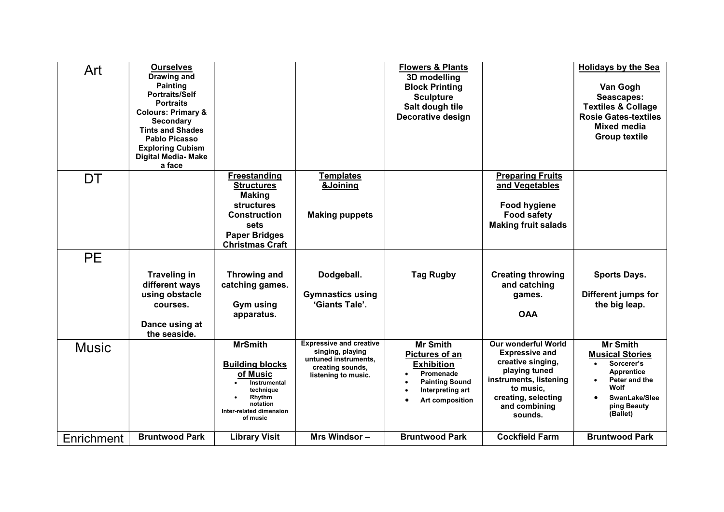| Art          | <b>Ourselves</b><br>Drawing and<br><b>Painting</b><br><b>Portraits/Self</b><br><b>Portraits</b><br><b>Colours: Primary &amp;</b><br><b>Secondary</b><br><b>Tints and Shades</b><br>Pablo Picasso<br><b>Exploring Cubism</b><br><b>Digital Media- Make</b><br>a face |                                                                                                                                                       |                                                                                                                       | <b>Flowers &amp; Plants</b><br>3D modelling<br><b>Block Printing</b><br><b>Sculpture</b><br>Salt dough tile<br>Decorative design    |                                                                                                                                                                                     | <b>Holidays by the Sea</b><br>Van Gogh<br>Seascapes:<br><b>Textiles &amp; Collage</b><br><b>Rosie Gates-textiles</b><br><b>Mixed media</b><br><b>Group textile</b> |
|--------------|---------------------------------------------------------------------------------------------------------------------------------------------------------------------------------------------------------------------------------------------------------------------|-------------------------------------------------------------------------------------------------------------------------------------------------------|-----------------------------------------------------------------------------------------------------------------------|-------------------------------------------------------------------------------------------------------------------------------------|-------------------------------------------------------------------------------------------------------------------------------------------------------------------------------------|--------------------------------------------------------------------------------------------------------------------------------------------------------------------|
| DT           |                                                                                                                                                                                                                                                                     | <b>Freestanding</b><br><b>Structures</b><br><b>Making</b><br>structures<br><b>Construction</b><br>sets<br><b>Paper Bridges</b>                        | <b>Templates</b><br>&Joining<br><b>Making puppets</b>                                                                 |                                                                                                                                     | <b>Preparing Fruits</b><br>and Vegetables<br><b>Food hygiene</b><br><b>Food safety</b><br><b>Making fruit salads</b>                                                                |                                                                                                                                                                    |
| <b>PE</b>    |                                                                                                                                                                                                                                                                     | <b>Christmas Craft</b>                                                                                                                                |                                                                                                                       |                                                                                                                                     |                                                                                                                                                                                     |                                                                                                                                                                    |
|              | <b>Traveling in</b><br>different ways<br>using obstacle<br>courses.<br>Dance using at<br>the seaside.                                                                                                                                                               | <b>Throwing and</b><br>catching games.<br><b>Gym using</b><br>apparatus.                                                                              | Dodgeball.<br><b>Gymnastics using</b><br>'Giants Tale'.                                                               | <b>Tag Rugby</b>                                                                                                                    | <b>Creating throwing</b><br>and catching<br>games.<br><b>OAA</b>                                                                                                                    | <b>Sports Days.</b><br>Different jumps for<br>the big leap.                                                                                                        |
| <b>Music</b> |                                                                                                                                                                                                                                                                     | <b>MrSmith</b><br><b>Building blocks</b><br>of Music<br><b>Instrumental</b><br>technique<br>Rhythm<br>notation<br>Inter-related dimension<br>of music | <b>Expressive and creative</b><br>singing, playing<br>untuned instruments,<br>creating sounds,<br>listening to music. | <b>Mr Smith</b><br>Pictures of an<br><b>Exhibition</b><br>Promenade<br><b>Painting Sound</b><br>Interpreting art<br>Art composition | <b>Our wonderful World</b><br><b>Expressive and</b><br>creative singing,<br>playing tuned<br>instruments, listening<br>to music,<br>creating, selecting<br>and combining<br>sounds. | <b>Mr Smith</b><br><b>Musical Stories</b><br>Sorcerer's<br><b>Apprentice</b><br>Peter and the<br>Wolf<br>SwanLake/Slee<br>ping Beauty<br>(Ballet)                  |
| Enrichment   | <b>Bruntwood Park</b>                                                                                                                                                                                                                                               | <b>Library Visit</b>                                                                                                                                  | Mrs Windsor-                                                                                                          | <b>Bruntwood Park</b>                                                                                                               | <b>Cockfield Farm</b>                                                                                                                                                               | <b>Bruntwood Park</b>                                                                                                                                              |